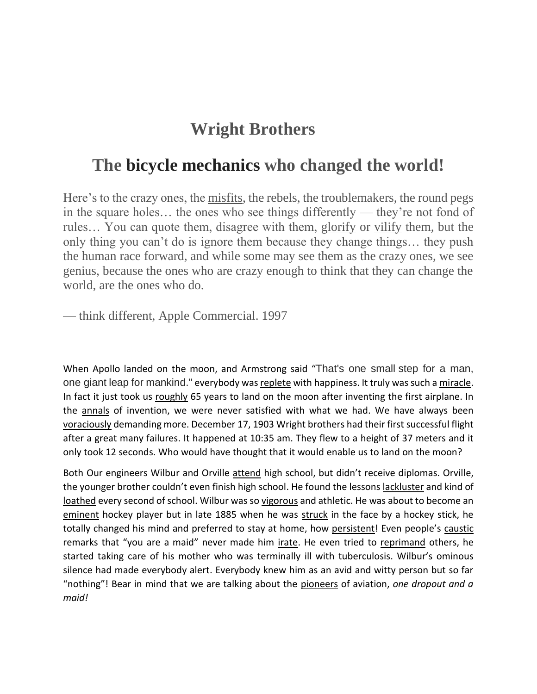## **Wright Brothers**

## **The bicycle mechanics who changed the world!**

Here's to the crazy ones, the misfits, the rebels, the troublemakers, the round pegs in the square holes… the ones who see things differently — they're not fond of rules… You can quote them, disagree with them, glorify or vilify them, but the only thing you can't do is ignore them because they change things… they push the human race forward, and while some may see them as the crazy ones, we see genius, because the ones who are crazy enough to think that they can change the world, are the ones who do.

— think different, Apple Commercial. 1997

When Apollo landed on the moon, and Armstrong said "That's one small step for a man, one giant leap for mankind." everybody was replete with happiness. It truly was such a miracle. In fact it just took us roughly 65 years to land on the moon after inventing the first airplane. In the annals of invention, we were never satisfied with what we had. We have always been voraciously demanding more. December 17, 1903 Wright brothers had their first successful flight after a great many failures. It happened at 10:35 am. They flew to a height of 37 meters and it only took 12 seconds. Who would have thought that it would enable us to land on the moon?

Both Our engineers Wilbur and Orville attend high school, but didn't receive diplomas. Orville, the younger brother couldn't even finish high school. He found the lessons lackluster and kind of loathed every second of school. Wilbur was so vigorous and athletic. He was about to become an eminent hockey player but in late 1885 when he was struck in the face by a hockey stick, he totally changed his mind and preferred to stay at home, how persistent! Even people's caustic remarks that "you are a maid" never made him irate. He even tried to reprimand others, he started taking care of his mother who was terminally ill with tuberculosis. Wilbur's ominous silence had made everybody alert. Everybody knew him as an avid and witty person but so far "nothing"! Bear in mind that we are talking about the pioneers of aviation, *one dropout and a maid!*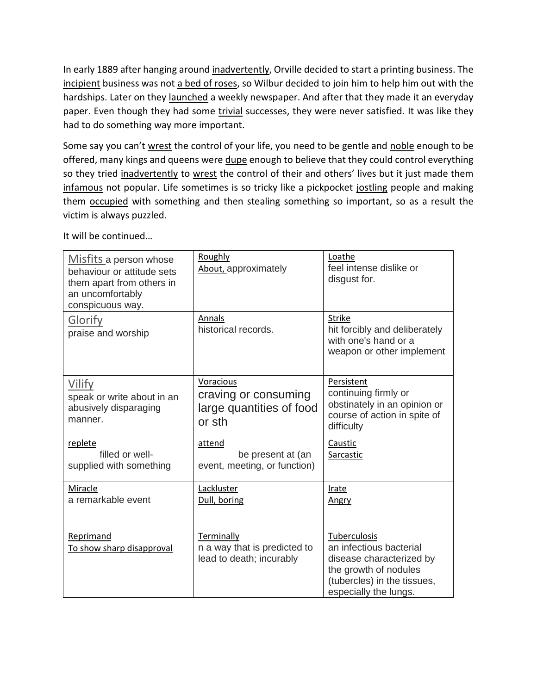In early 1889 after hanging around inadvertently, Orville decided to start a printing business. The incipient business was not a bed of roses, so Wilbur decided to join him to help him out with the hardships. Later on they launched a weekly newspaper. And after that they made it an everyday paper. Even though they had some trivial successes, they were never satisfied. It was like they had to do something way more important.

Some say you can't wrest the control of your life, you need to be gentle and noble enough to be offered, many kings and queens were dupe enough to believe that they could control everything so they tried inadvertently to wrest the control of their and others' lives but it just made them infamous not popular. Life sometimes is so tricky like a pickpocket jostling people and making them occupied with something and then stealing something so important, so as a result the victim is always puzzled.

| It will be continued |  |
|----------------------|--|
|----------------------|--|

| Misfits a person whose<br>behaviour or attitude sets<br>them apart from others in<br>an uncomfortably<br>conspicuous way. | Roughly<br>About, approximately                                         | Loathe<br>feel intense dislike or<br>disgust for.                                                                                                    |
|---------------------------------------------------------------------------------------------------------------------------|-------------------------------------------------------------------------|------------------------------------------------------------------------------------------------------------------------------------------------------|
| Glorify<br>praise and worship                                                                                             | Annals<br>historical records.                                           | <b>Strike</b><br>hit forcibly and deliberately<br>with one's hand or a<br>weapon or other implement                                                  |
| Vilify<br>speak or write about in an<br>abusively disparaging<br>manner.                                                  | Voracious<br>craving or consuming<br>large quantities of food<br>or sth | Persistent<br>continuing firmly or<br>obstinately in an opinion or<br>course of action in spite of<br>difficulty                                     |
| replete<br>filled or well-<br>supplied with something                                                                     | attend<br>be present at (an<br>event, meeting, or function)             | Caustic<br>Sarcastic                                                                                                                                 |
| Miracle<br>a remarkable event                                                                                             | Lackluster<br>Dull, boring                                              | <b>Irate</b><br>Angry                                                                                                                                |
| Reprimand<br>To show sharp disapproval                                                                                    | Terminally<br>n a way that is predicted to<br>lead to death; incurably  | Tuberculosis<br>an infectious bacterial<br>disease characterized by<br>the growth of nodules<br>(tubercles) in the tissues,<br>especially the lungs. |